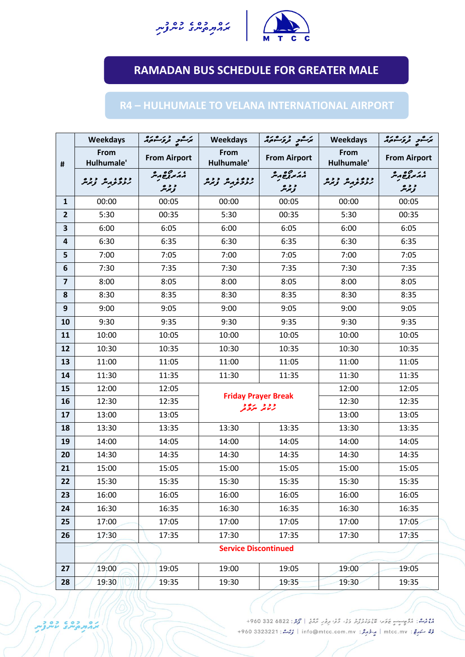



## **RAMADAN BUS SCHEDULE FOR GREATER MALE**

## **R4 – HULHUMALE TO VELANA INTERNATIONAL AIRPORT**

|                | Weekdays                    | يرشو دوسه                                         | <b>Weekdays</b>                        | يرَكْسُور قروَكْسُومُ            | <b>Weekdays</b>           | ىرگىر درەرە                                  |  |  |
|----------------|-----------------------------|---------------------------------------------------|----------------------------------------|----------------------------------|---------------------------|----------------------------------------------|--|--|
| #              | From<br>Hulhumale'          | <b>From Airport</b>                               | From<br>Hulhumale'                     | <b>From Airport</b>              | From<br>Hulhumale'        | <b>From Airport</b>                          |  |  |
|                | زردو وبراز وبرار            | م <i>م کرونا می</i> گر<br>و د ه<br>تر <i>پر</i> س | زروو به زند                            | م <i>م تر ترغ م</i> یر<br>و د پر | زنز محرم مر نر نر بر در ا | م در مربوع مر<br>مرب <i>و</i> ع مر<br>و د هر |  |  |
| $\mathbf{1}$   | 00:00                       | 00:05                                             | 00:00                                  | 00:05                            | 00:00                     | 00:05                                        |  |  |
| $\overline{2}$ | 5:30                        | 00:35                                             | 5:30                                   | 00:35                            | 5:30                      | 00:35                                        |  |  |
| 3              | 6:00                        | 6:05                                              | 6:00                                   | 6:05                             | 6:00                      | 6:05                                         |  |  |
| 4              | 6:30                        | 6:35                                              | 6:30                                   | 6:35                             | 6:30                      | 6:35                                         |  |  |
| 5              | 7:00                        | 7:05                                              | 7:00                                   | 7:05                             | 7:00                      | 7:05                                         |  |  |
| 6              | 7:30                        | 7:35                                              | 7:30                                   | 7:35                             | 7:30                      | 7:35                                         |  |  |
| $\overline{7}$ | 8:00                        | 8:05                                              | 8:00                                   | 8:05                             | 8:00                      | 8:05                                         |  |  |
| 8              | 8:30                        | 8:35                                              | 8:30                                   | 8:35                             | 8:30                      | 8:35                                         |  |  |
| 9              | 9:00                        | 9:05                                              | 9:00                                   | 9:05                             | 9:00                      | 9:05                                         |  |  |
| 10             | 9:30                        | 9:35                                              | 9:30                                   | 9:35                             | 9:30                      | 9:35                                         |  |  |
| 11             | 10:00                       | 10:05                                             | 10:00                                  | 10:05                            | 10:00                     | 10:05                                        |  |  |
| 12             | 10:30                       | 10:35                                             | 10:30                                  | 10:35                            | 10:30                     | 10:35                                        |  |  |
| 13             | 11:00                       | 11:05                                             | 11:00                                  | 11:05                            | 11:00                     | 11:05                                        |  |  |
| 14             | 11:30                       | 11:35                                             | 11:30                                  | 11:35                            | 11:30                     | 11:35                                        |  |  |
| 15             | 12:00                       | 12:05                                             | <b>Friday Prayer Break</b><br>ووو پروو |                                  | 12:00                     | 12:05                                        |  |  |
| 16             | 12:30                       | 12:35                                             |                                        |                                  | 12:30                     | 12:35                                        |  |  |
| 17             | 13:00                       | 13:05                                             |                                        |                                  |                           | 13:05                                        |  |  |
| 18             | 13:30                       | 13:35                                             | 13:30                                  | 13:35                            | 13:30                     | 13:35                                        |  |  |
| 19             | 14:00                       | 14:05                                             | 14:00                                  | 14:05                            | 14:00                     | 14:05                                        |  |  |
| 20             | 14:30                       | 14:35                                             | 14:30                                  | 14:35                            | 14:30                     | 14:35                                        |  |  |
| 21             | 15:00                       | 15:05                                             | 15:00                                  | 15:05                            | 15:00                     | 15:05                                        |  |  |
| 22             | 15:30                       | 15:35                                             | 15:30                                  | 15:35                            | 15:30                     | 15:35                                        |  |  |
| 23             | 16:00                       | 16:05                                             | 16:00                                  | 16:05                            | 16:00                     | 16:05                                        |  |  |
| 24             | 16:30                       | 16:35                                             | 16:30                                  | 16:35                            | 16:30                     | 16:35                                        |  |  |
| 25             | 17:00                       | 17:05                                             | 17:00                                  | 17:05                            | 17:00                     | 17:05                                        |  |  |
| 26             | 17:30                       | 17:35                                             | 17:30                                  | 17:35                            | 17:30                     | 17:35                                        |  |  |
|                | <b>Service Discontinued</b> |                                                   |                                        |                                  |                           |                                              |  |  |
| 27             | 19:00                       | 19:05                                             | 19:00                                  | 19:05                            | 19:00                     | 19:05                                        |  |  |
| 28             | 19:30                       | 19:35                                             | 19:30                                  | 19:35                            | 19:30                     | 19:35                                        |  |  |

موم<br>مومثر : مُرُوِيِّتٍ عَادَةً مُومَدِّرْتُرْ دَيْ دُوْرٍ مِرْدَرٍ مُرْمَعُ | مُرْمَزِ : 6822 330 960+ رُرُّ سَهُرِجٌ: mtcc.mv | مِرْدُ مِرْدُ: info@mtcc.com.mv | رُرْسُدُ: 4960 3323221